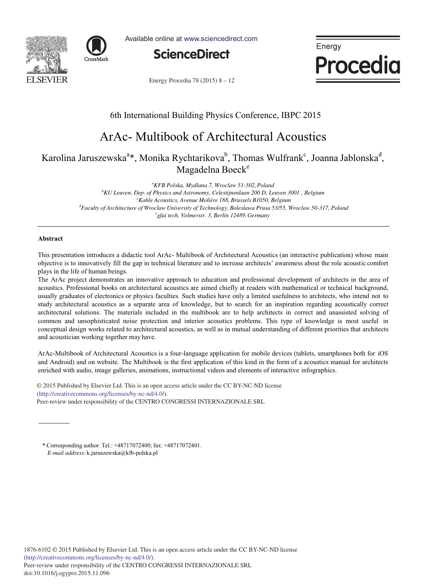



Available online at www.sciencedirect.com



Energy **Procedia** 

Energy Procedia 78 (2015) 8 - 12

# 6th International Building Physics Conference, IBPC 2015

# ArAc- Multibook of Architectural Acoustics

Karolina Jaruszewska<sup>a</sup>\*, Monika Rychtarikova<sup>b</sup>, Thomas Wulfrank<sup>c</sup>, Joanna Jablonska<sup>d</sup>, Magadelna Boeck<sup>e</sup>

> *a KFB Polska, Mydlana 7, Wroclaw 51-502,Poland b KU Leuven, Dep. of Physics and Astronomy, Celestijnenlaan 200 D, Leuven 3001 , Belgium c Kahle Acoustics, Avenue Molière 188, Brussels B1050, Belgium d Faculty of Architecture of Wroclaw University of Technology, Boleslawa Prusa 53/55, Wroclaw 50-317, Poland e gfai tech, Volmerstr. 3, Berlin 12489,Germany*

## **Abstract**

This presentation introduces a didactic tool ArAc- Multibook of Architectural Acoustics (an interactive publication) whose main objective is to innovatively fill the gap in technical literature and to increase architects' awareness about the role acoustic comfort plays in the life of human beings.

The ArAc project demonstrates an innovative approach to education and professional development of architects in the area of acoustics. Professional books on architectural acoustics are aimed chiefly at readers with mathematical or technical background, usually graduates of electronics or physics faculties. Such studies have only a limited usefulness to architects, who intend not to study architectural acoustics as a separate area of knowledge, but to search for an inspiration regarding acoustically correct architectural solutions. The materials included in the multibook are to help architects in correct and unassisted solving of common and unsophisticated noise protection and interior acoustics problems. This type of knowledge is most useful in conceptual design works related to architectural acoustics, as well as in mutual understanding of different priorities that architects and acoustician working together may have.

ArAc-Multibook of Architectural Acoustics is a four-language application for mobile devices (tablets, smartphones both for iOS and Android) and on website. The Multibook is the first application of this kind in the form of a acoustics manual for architects enriched with audio, image galleries, animations, instructional videos and elements of interactive infographics.

© 2015 Published by Elsevier Ltd. This is an open access article under the CC BY-NC-ND license (http://creativecommons.org/licenses/by-nc-nd/4.0/). Peer-review under responsibility of the CENTRO CONGRESSI INTERNAZIONALE SRL

\* Corresponding author. Tel.: +48717072400; fax: +48717072401. *E-mail address:* k.jaruszewska@kfb-polska.pl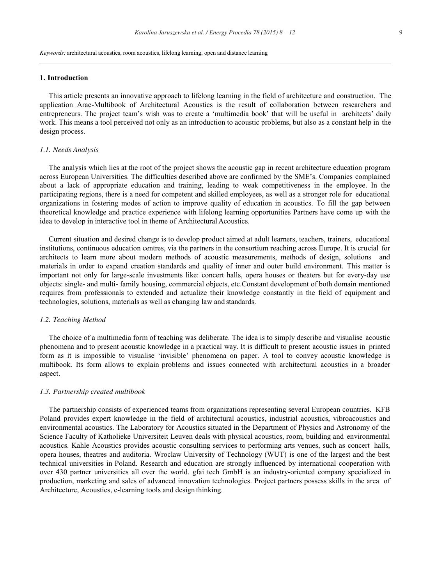*Keywords:* architectural acoustics, room acoustics, lifelong learning, open and distance learning

#### **1. Introduction**

This article presents an innovative approach to lifelong learning in the field of architecture and construction. The application Arac-Multibook of Architectural Acoustics is the result of collaboration between researchers and entrepreneurs. The project team's wish was to create a 'multimedia book' that will be useful in architects' daily work. This means a tool perceived not only as an introduction to acoustic problems, but also as a constant help in the design process.

#### *1.1. Needs Analysis*

The analysis which lies at the root of the project shows the acoustic gap in recent architecture education program across European Universities. The difficulties described above are confirmed by the SME's. Companies complained about a lack of appropriate education and training, leading to weak competitiveness in the employee. In the participating regions, there is a need for competent and skilled employees, as well as a stronger role for educational organizations in fostering modes of action to improve quality of education in acoustics. To fill the gap between theoretical knowledge and practice experience with lifelong learning opportunities Partners have come up with the idea to develop in interactive tool in theme of Architectural Acoustics.

Current situation and desired change is to develop product aimed at adult learners, teachers, trainers, educational institutions, continuous education centres, via the partners in the consortium reaching across Europe. It is crucial for architects to learn more about modern methods of acoustic measurements, methods of design, solutions and materials in order to expand creation standards and quality of inner and outer build environment. This matter is important not only for large-scale investments like: concert halls, opera houses or theaters but for every-day use objects: single- and multi- family housing, commercial objects, etc.Constant development of both domain mentioned requires from professionals to extended and actualize their knowledge constantly in the field of equipment and technologies, solutions, materials as well as changing law and standards.

#### *1.2. Teaching Method*

The choice of a multimedia form of teaching was deliberate. The idea is to simply describe and visualise acoustic phenomena and to present acoustic knowledge in a practical way. It is difficult to present acoustic issues in printed form as it is impossible to visualise 'invisible' phenomena on paper. A tool to convey acoustic knowledge is multibook. Its form allows to explain problems and issues connected with architectural acoustics in a broader aspect.

#### *1.3. Partnership created multibook*

The partnership consists of experienced teams from organizations representing several European countries. KFB Poland provides expert knowledge in the field of architectural acoustics, industrial acoustics, vibroacoustics and environmental acoustics. The Laboratory for Acoustics situated in the Department of Physics and Astronomy of the Science Faculty of Katholieke Universiteit Leuven deals with physical acoustics, room, building and environmental acoustics. Kahle Acoustics provides acoustic consulting services to performing arts venues, such as concert halls, opera houses, theatres and auditoria. Wroclaw University of Technology (WUT) is one of the largest and the best technical universities in Poland. Research and education are strongly influenced by international cooperation with over 430 partner universities all over the world. gfai tech GmbH is an industry-oriented company specialized in production, marketing and sales of advanced innovation technologies. Project partners possess skills in the area of Architecture, Acoustics, e-learning tools and design thinking.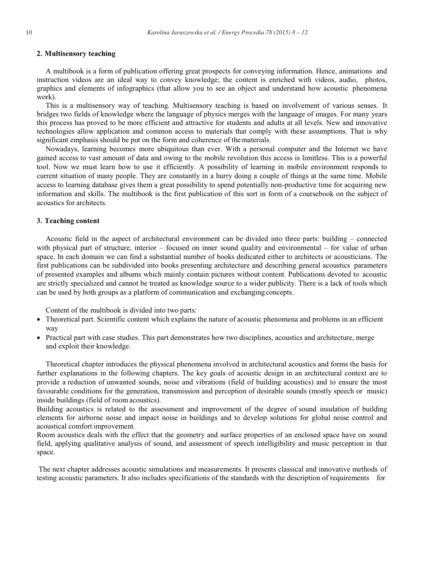#### **2. Multisensory teaching**

A multibook is a form of publication offering great prospects for conveying information. Hence, animations and instruction videos are an ideal way to convey knowledge; the content is enriched with videos, audio, photos, graphics and elements of infographics (that allow you to see an object and understand how acoustic phenomena work).

This is a multisensory way of teaching. Multisensory teaching is based on involvement of various senses. It bridges two fields of knowledge where the language of physics merges with the language of images. For many years this process has proved to be more efficient and attractive for students and adults at all levels. New and innovative technologies allow application and common access to materials that comply with these assumptions. That is why significant emphasis should be put on the form and coherence of thematerials.

Nowadays, learning becomes more ubiquitous than ever. With a personal computer and the Internet we have gained access to vast amount of data and owing to the mobile revolution this access is limitless. This is a powerful tool. Now we must learn how to use it efficiently. A possibility of learning in mobile environment responds to current situation of many people. They are constantly in a hurry doing a couple of things at the same time. Mobile access to learning database gives them a great possibility to spend potentially non-productive time for acquiring new information and skills. The multibook is the first publication of this sort in form of a coursebook on the subject of acoustics for architects.

#### **3. Teaching content**

Acoustic field in the aspect of architectural environment can be divided into three parts: building – connected with physical part of structure, interior – focused on inner sound quality and environmental – for value of urban space. In each domain we can find a substantial number of books dedicated either to architects or acousticians. The first publications can be subdivided into books presenting architecture and describing general acoustics parameters of presented examples and albums which mainly contain pictures without content. Publications devoted to acoustic are strictly specialized and cannot be treated as knowledge source to a wider publicity. There is a lack of tools which can be used by both groups as a platform of communication and exchangingconcepts.

Content of the multibook is divided into two parts:

- Theoretical part. Scientific content which explains the nature of acoustic phenomena and problems in an efficient way
- Practical part with case studies. This part demonstrates how two disciplines, acoustics and architecture, merge and exploit their knowledge.

Theoretical chapter introduces the physical phenomena involved in architectural acoustics and forms the basis for further explanations in the following chapters. The key goals of acoustic design in an architectural context are to provide a reduction of unwanted sounds, noise and vibrations (field of building acoustics) and to ensure the most favourable conditions for the generation, transmission and perception of desirable sounds (mostly speech or music) inside buildings (field of room acoustics).

Building acoustics is related to the assessment and improvement of the degree of sound insulation of building elements for airborne noise and impact noise in buildings and to develop solutions for global noise control and acoustical comfort improvement.

Room acoustics deals with the effect that the geometry and surface properties of an enclosed space have on sound field, applying qualitative analysis of sound, and assessment of speech intelligibility and music perception in that space.

The next chapter addresses acoustic simulations and measurements. It presents classical and innovative methods of testing acoustic parameters. It also includes specifications of the standards with the description of requirements for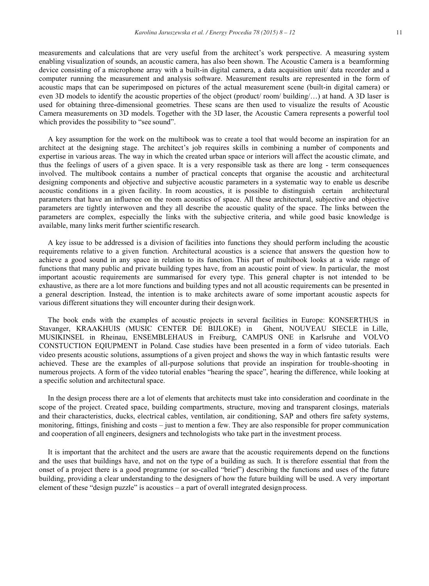measurements and calculations that are very useful from the architect's work perspective. A measuring system enabling visualization of sounds, an acoustic camera, has also been shown. The Acoustic Camera is a beamforming device consisting of a microphone array with a built-in digital camera, a data acquisition unit/ data recorder and a computer running the measurement and analysis software. Measurement results are represented in the form of acoustic maps that can be superimposed on pictures of the actual measurement scene (built-in digital camera) or even 3D models to identify the acoustic properties of the object (product/ room/ building/…) at hand. A 3D laser is used for obtaining three-dimensional geometries. These scans are then used to visualize the results of Acoustic Camera measurements on 3D models. Together with the 3D laser, the Acoustic Camera represents a powerful tool which provides the possibility to "see sound".

A key assumption for the work on the multibook was to create a tool that would become an inspiration for an architect at the designing stage. The architect's job requires skills in combining a number of components and expertise in various areas. The way in which the created urban space or interiors will affect the acoustic climate, and thus the feelings of users of a given space. It is a very responsible task as there are long - term consequences involved. The multibook contains a number of practical concepts that organise the acoustic and architectural designing components and objective and subjective acoustic parameters in a systematic way to enable us describe acoustic conditions in a given facility. In room acoustics, it is possible to distinguish certain architectural parameters that have an influence on the room acoustics of space. All these architectural, subjective and objective parameters are tightly interwoven and they all describe the acoustic quality of the space. The links between the parameters are complex, especially the links with the subjective criteria, and while good basic knowledge is available, many links merit further scientific research.

A key issue to be addressed is a division of facilities into functions they should perform including the acoustic requirements relative to a given function. Architectural acoustics is a science that answers the question how to achieve a good sound in any space in relation to its function. This part of multibook looks at a wide range of functions that many public and private building types have, from an acoustic point of view. In particular, the most important acoustic requirements are summarised for every type. This general chapter is not intended to be exhaustive, as there are a lot more functions and building types and not all acoustic requirements can be presented in a general description. Instead, the intention is to make architects aware of some important acoustic aspects for various different situations they will encounter during their designwork.

The book ends with the examples of acoustic projects in several facilities in Europe: KONSERTHUS in wanger, KRAAKHUIS (MUSIC CENTER DE BIJLOKE) in Ghent, NOUVEAU SIECLE in Lille, Stavanger, KRAAKHUIS (MUSIC CENTER DE BIJLOKE) in MUSIKINSEL in Rheinau, ENSEMBLEHAUS in Freiburg, CAMPUS ONE in Karlsruhe and VOLVO CONSTUCTION EQIUPMENT in Poland. Case studies have been presented in a form of video tutorials. Each video presents acoustic solutions, assumptions of a given project and shows the way in which fantastic results were achieved. These are the examples of all-purpose solutions that provide an inspiration for trouble-shooting in numerous projects. A form of the video tutorial enables "hearing the space", hearing the difference, while looking at a specific solution and architectural space.

In the design process there are a lot of elements that architects must take into consideration and coordinate in the scope of the project. Created space, building compartments, structure, moving and transparent closings, materials and their characteristics, ducks, electrical cables, ventilation, air conditioning, SAP and others fire safety systems, monitoring, fittings, finishing and costs – just to mention a few. They are also responsible for proper communication and cooperation of all engineers, designers and technologists who take part in the investment process.

It is important that the architect and the users are aware that the acoustic requirements depend on the functions and the uses that buildings have, and not on the type of a building as such. It is therefore essential that from the onset of a project there is a good programme (or so-called "brief") describing the functions and uses of the future building, providing a clear understanding to the designers of how the future building will be used. A very important element of these "design puzzle" is acoustics – a part of overall integrated design process.